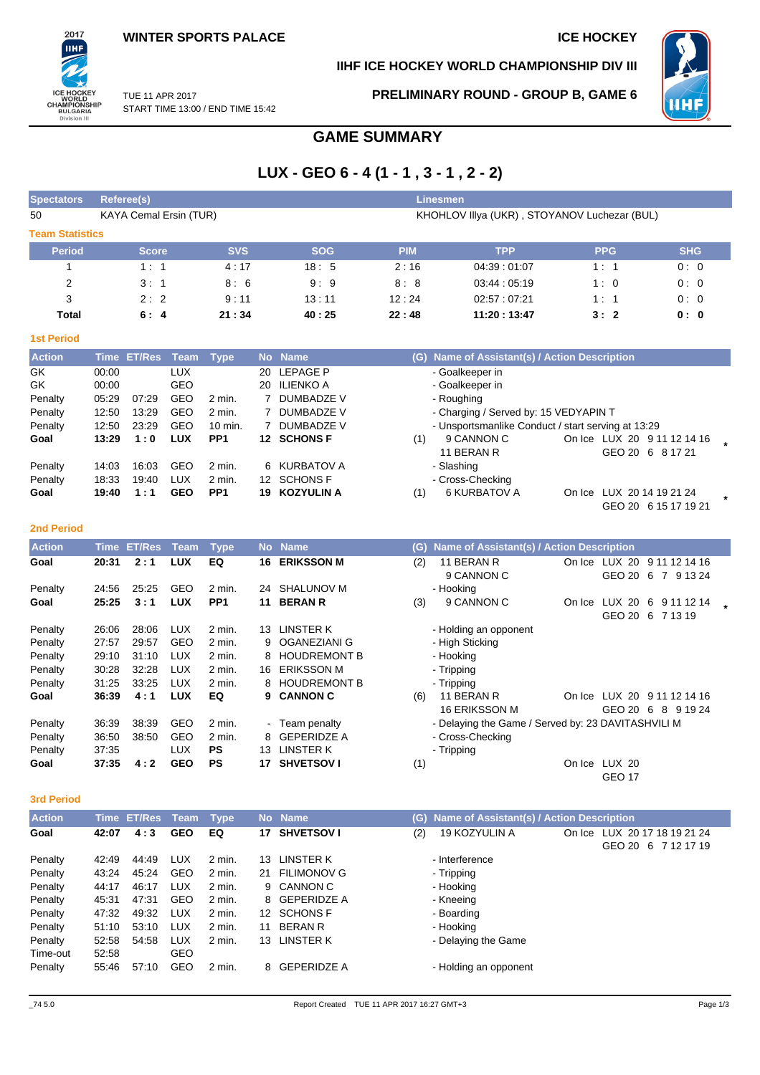**IIHF ICE HOCKEY WORLD CHAMPIONSHIP DIV III**



TUE 11 APR 2017 START TIME 13:00 / END TIME 15:42 **PRELIMINARY ROUND - GROUP B, GAME 6**

# **GAME SUMMARY**

# **LUX - GEO 6 - 4 (1 - 1 , 3 - 1 , 2 - 2)**

| <b>Spectators</b>      | Referee(s)                    |            |            | <b>Linesmen</b> |                                              |            |            |
|------------------------|-------------------------------|------------|------------|-----------------|----------------------------------------------|------------|------------|
| 50                     | <b>KAYA Cemal Ersin (TUR)</b> |            |            |                 | KHOHLOV IIIya (UKR), STOYANOV Luchezar (BUL) |            |            |
| <b>Team Statistics</b> |                               |            |            |                 |                                              |            |            |
| <b>Period</b>          | <b>Score</b>                  | <b>SVS</b> | <b>SOG</b> | <b>PIM</b>      | <b>TPP</b>                                   | <b>PPG</b> | <b>SHG</b> |
|                        | 1:1                           | 4:17       | 18:5       | 2:16            | 04:39:01:07                                  | 1:1        | 0:0        |
| 2                      | 3:1                           | 8:6        | 9:9        | 8:8             | 03.44:05.19                                  | 1:0        | 0:0        |
| 3                      | 2:2                           | 9:11       | 13:11      | 12:24           | 02:57:07:21                                  | 1:1        | 0:0        |
| Total                  | 6:4                           | 21:34      | 40:25      | 22:48           | 11:20:13:47                                  | 3:2        | 0: 0       |
| <b>1st Period</b>      |                               |            |            |                 |                                              |            |            |

| <b>Action</b> |       | Time ET/Res | Team       | Type            |    | No Name           | (G) Name of Assistant(s) / Action Description       |  |
|---------------|-------|-------------|------------|-----------------|----|-------------------|-----------------------------------------------------|--|
| GK            | 00:00 |             | <b>LUX</b> |                 |    | 20 LEPAGE P       | - Goalkeeper in                                     |  |
| GK            | 00:00 |             | GEO        |                 | 20 | ILIENKO A         | - Goalkeeper in                                     |  |
| Penalty       | 05:29 | 07:29       | <b>GEO</b> | $2$ min.        |    | DUMBADZE V        | - Roughing                                          |  |
| Penalty       | 12:50 | 13:29       | <b>GEO</b> | $2$ min.        |    | DUMBADZE V        | - Charging / Served by: 15 VEDYAPIN T               |  |
| Penalty       | 12:50 | 23.29       | <b>GEO</b> | 10 min.         |    | DUMBADZE V        | - Unsportsmanlike Conduct / start serving at 13:29  |  |
| Goal          | 13:29 | 1:0         | <b>LUX</b> | PP <sub>1</sub> | 12 | <b>SCHONS F</b>   | 9 CANNON C<br>On Ice LUX 20 9 11 12 14 16<br>(1)    |  |
|               |       |             |            |                 |    |                   | 11 BERAN R<br>GEO 20 6 8 17 21                      |  |
| Penalty       | 14:03 | 16:03       | GEO        | 2 min.          |    | 6 KURBATOV A      | - Slashing                                          |  |
| Penalty       | 18:33 | 19:40       | <b>LUX</b> | 2 min.          | 12 | <b>SCHONS F</b>   | - Cross-Checking                                    |  |
| Goal          | 19:40 | 1:1         | <b>GEO</b> | PP <sub>1</sub> | 19 | <b>KOZYULIN A</b> | 6 KURBATOV A<br>LUX 20 14 19 21 24<br>(1)<br>On Ice |  |
|               |       |             |            |                 |    |                   | GEO 20 6 15 17 19 21                                |  |

### **2nd Period**

2017 ПHI

ICE HOCKEY<br>WORLD<br>CHAMPIONSHIP<br>BULGARIA<br>Division III

| <b>Action</b> | Time  | <b>ET/Res</b> | Team       | <b>Type</b>     |     | No Name             | (G) | Name of Assistant(s) / Action Description          |        |               |                                |  |
|---------------|-------|---------------|------------|-----------------|-----|---------------------|-----|----------------------------------------------------|--------|---------------|--------------------------------|--|
| Goal          | 20:31 | 2:1           | <b>LUX</b> | EQ              | 16. | <b>ERIKSSON M</b>   | (2) | 11 BERAN R                                         | On Ice | LUX 20        | 9 11 12 14 16                  |  |
|               |       |               |            |                 |     |                     |     | 9 CANNON C                                         |        | GEO 20        | 6<br>9 13 24<br>$\overline{7}$ |  |
| Penalty       | 24:56 | 25:25         | <b>GEO</b> | $2$ min.        | 24  | SHALUNOV M          |     | - Hooking                                          |        |               |                                |  |
| Goal          | 25:25 | 3:1           | <b>LUX</b> | PP <sub>1</sub> | 11  | <b>BERAN R</b>      | (3) | 9 CANNON C                                         | On Ice | LUX 20        | 6<br>9 11 12 14                |  |
|               |       |               |            |                 |     |                     |     |                                                    |        | GEO 20        | 6 7 13 19                      |  |
| Penalty       | 26:06 | 28:06         | <b>LUX</b> | 2 min.          | 13  | LINSTER K           |     | - Holding an opponent                              |        |               |                                |  |
| Penalty       | 27:57 | 29:57         | <b>GEO</b> | $2$ min.        | 9   | OGANEZIANI G        |     | - High Sticking                                    |        |               |                                |  |
| Penalty       | 29:10 | 31:10         | <b>LUX</b> | 2 min.          | 8   | <b>HOUDREMONT B</b> |     | - Hooking                                          |        |               |                                |  |
| Penalty       | 30:28 | 32.28         | <b>LUX</b> | 2 min.          | 16  | <b>ERIKSSON M</b>   |     | - Tripping                                         |        |               |                                |  |
| Penalty       | 31:25 | 33:25         | <b>LUX</b> | 2 min.          | 8   | <b>HOUDREMONT B</b> |     | - Tripping                                         |        |               |                                |  |
| Goal          | 36:39 | 4:1           | <b>LUX</b> | EQ              | 9.  | <b>CANNON C</b>     | (6) | 11 BERAN R                                         | On Ice | LUX 20        | 9 11 12 14 16                  |  |
|               |       |               |            |                 |     |                     |     | <b>16 ERIKSSON M</b>                               |        | GEO 20        | 8<br>9 19 24<br>- 6            |  |
| Penalty       | 36:39 | 38:39         | GEO        | $2$ min.        |     | - Team penalty      |     | - Delaying the Game / Served by: 23 DAVITASHVILI M |        |               |                                |  |
| Penalty       | 36.50 | 38:50         | GEO        | $2$ min.        | 8   | <b>GEPERIDZE A</b>  |     | - Cross-Checking                                   |        |               |                                |  |
| Penalty       | 37:35 |               | <b>LUX</b> | <b>PS</b>       | 13  | LINSTER K           |     | - Tripping                                         |        |               |                                |  |
| Goal          | 37:35 | 4:2           | <b>GEO</b> | <b>PS</b>       | 17  | <b>SHVETSOVI</b>    | (1) |                                                    |        | On Ice LUX 20 |                                |  |
|               |       |               |            |                 |     |                     |     |                                                    |        | <b>GEO 17</b> |                                |  |

#### **3rd Period**

| <b>Action</b> |       | Time ET/Res | Team       | <b>Type</b> | <b>No</b> | <b>Name</b>        | (G) | Name of Assistant(s) / Action Description |        |                        |
|---------------|-------|-------------|------------|-------------|-----------|--------------------|-----|-------------------------------------------|--------|------------------------|
| Goal          | 42:07 | 4:3         | <b>GEO</b> | EQ          | 17        | <b>SHVETSOV I</b>  | (2) | 19 KOZYULIN A                             | On Ice | LUX 20 17 18 19 21 24  |
|               |       |             |            |             |           |                    |     |                                           |        | GEO 20 6<br>7 12 17 19 |
| Penalty       | 42:49 | 44:49       | LUX        | 2 min.      | 13        | LINSTER K          |     | - Interference                            |        |                        |
| Penalty       | 43:24 | 45.24       | <b>GEO</b> | $2$ min.    | 21        | <b>FILIMONOV G</b> |     | - Tripping                                |        |                        |
| Penalty       | 44:17 | 46:17       | <b>LUX</b> | 2 min.      |           | 9 CANNON C         |     | - Hooking                                 |        |                        |
| Penalty       | 45:31 | 47:31       | <b>GEO</b> | 2 min.      |           | 8 GEPERIDZE A      |     | - Kneeing                                 |        |                        |
| Penalty       | 47:32 | 49:32       | LUX        | 2 min.      |           | 12 SCHONS F        |     | - Boarding                                |        |                        |
| Penalty       | 51:10 | 53:10       | <b>LUX</b> | 2 min.      | 11        | <b>BERAN R</b>     |     | - Hooking                                 |        |                        |
| Penalty       | 52:58 | 54.58       | <b>LUX</b> | 2 min.      |           | 13 LINSTER K       |     | - Delaying the Game                       |        |                        |
| Time-out      | 52:58 |             | GEO        |             |           |                    |     |                                           |        |                        |
| Penalty       | 55:46 | 57:10       | GEO        | 2 min.      |           | 8 GEPERIDZE A      |     | - Holding an opponent                     |        |                        |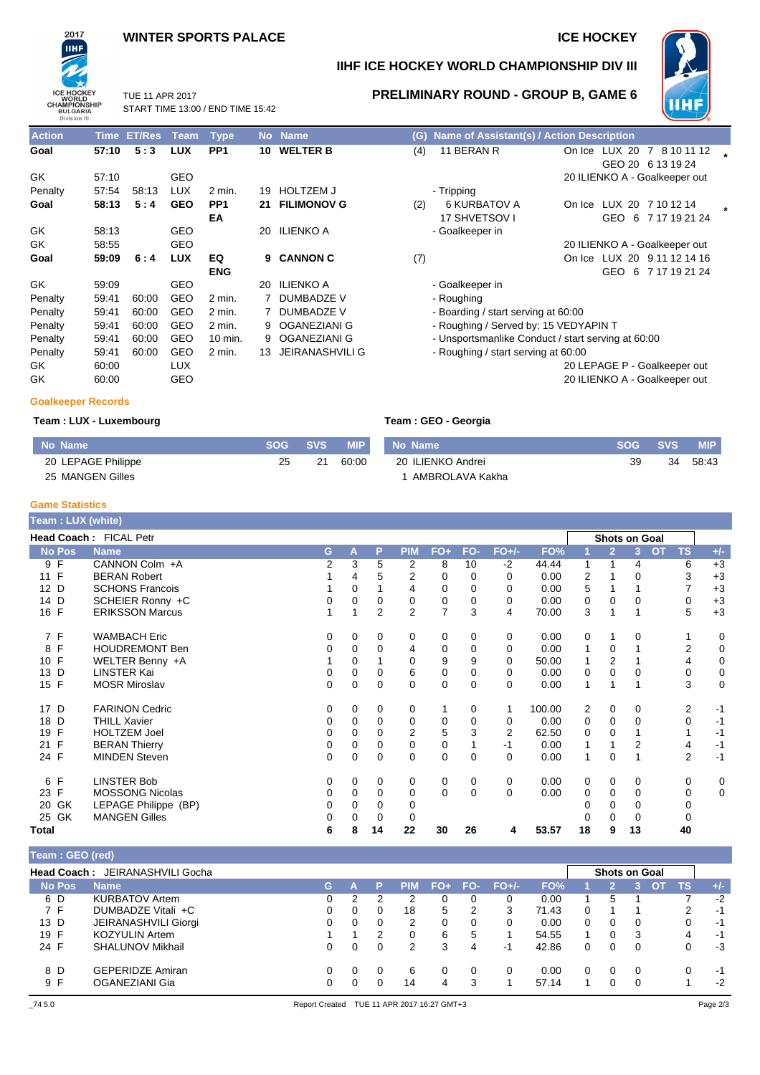## **WINTER SPORTS PALACE ICE HOCKEY**

TUE 11 APR 2017



## **IIHF ICE HOCKEY WORLD CHAMPIONSHIP DIV III**



START TIME 13:00 / END TIME 15:42 **PRELIMINARY ROUND - GROUP B, GAME 6**

| <b>Action</b>             | Time  | <b>ET/Res</b> | Team       | <b>Type</b>     |    | No Name                | (G) | Name of Assistant(s) / Action Description          |        |                                                 |  |
|---------------------------|-------|---------------|------------|-----------------|----|------------------------|-----|----------------------------------------------------|--------|-------------------------------------------------|--|
| Goal                      | 57:10 | 5:3           | <b>LUX</b> | PP <sub>1</sub> |    | 10 WELTER B            | (4) | 11 BERAN R                                         |        | On Ice LUX 20 7 8 10 11 12<br>GEO 20 6 13 19 24 |  |
| GK                        | 57:10 |               | <b>GEO</b> |                 |    |                        |     |                                                    |        | 20 ILIENKO A - Goalkeeper out                   |  |
| Penalty                   | 57:54 | 58:13         | <b>LUX</b> | $2$ min.        | 19 | <b>HOLTZEM J</b>       |     | - Tripping                                         |        |                                                 |  |
| Goal                      | 58:13 | 5:4           | <b>GEO</b> | PP <sub>1</sub> | 21 | <b>FILIMONOV G</b>     | (2) | <b>6 KURBATOV A</b>                                | On Ice | LUX 20 7 10 12 14                               |  |
|                           |       |               |            | EA              |    |                        |     | 17 SHVETSOV I                                      |        | GEO 6 7 17 19 21 24                             |  |
| GK                        | 58:13 |               | <b>GEO</b> |                 | 20 | <b>ILIENKO A</b>       |     | - Goalkeeper in                                    |        |                                                 |  |
| GK                        | 58:55 |               | GEO        |                 |    |                        |     |                                                    |        | 20 ILIENKO A - Goalkeeper out                   |  |
| Goal                      | 59:09 | 6:4           | <b>LUX</b> | EQ              | 9  | <b>CANNON C</b>        | (7) |                                                    |        | On Ice LUX 20 9 11 12 14 16                     |  |
|                           |       |               |            | <b>ENG</b>      |    |                        |     |                                                    |        | GEO<br>6 7 17 19 21 24                          |  |
| GK                        | 59:09 |               | GEO        |                 | 20 | <b>ILIENKO A</b>       |     | - Goalkeeper in                                    |        |                                                 |  |
| Penalty                   | 59:41 | 60:00         | <b>GEO</b> | $2$ min.        |    | <b>DUMBADZE V</b>      |     | - Roughing                                         |        |                                                 |  |
| Penalty                   | 59:41 | 60:00         | <b>GEO</b> | $2$ min.        |    | <b>DUMBADZE V</b>      |     | - Boarding / start serving at 60:00                |        |                                                 |  |
| Penalty                   | 59:41 | 60:00         | GEO        | $2$ min.        | 9  | OGANEZIANI G           |     | - Roughing / Served by: 15 VEDYAPIN T              |        |                                                 |  |
| Penalty                   | 59:41 | 60:00         | <b>GEO</b> | 10 min.         | 9  | <b>OGANEZIANI G</b>    |     | - Unsportsmanlike Conduct / start serving at 60:00 |        |                                                 |  |
| Penalty                   | 59:41 | 60:00         | <b>GEO</b> | $2$ min.        | 13 | <b>JEIRANASHVILI G</b> |     | - Roughing / start serving at 60:00                |        |                                                 |  |
| GK                        | 60:00 |               | <b>LUX</b> |                 |    |                        |     |                                                    |        | 20 LEPAGE P - Goalkeeper out                    |  |
| GK                        | 60:00 |               | GEO        |                 |    |                        |     |                                                    |        | 20 ILIENKO A - Goalkeeper out                   |  |
| <b>Goalkeeper Records</b> |       |               |            |                 |    |                        |     |                                                    |        |                                                 |  |

### **Team : LUX - Luxembourg Team : GEO - Georgia**

| No Name            |    | SOG SVS | <b>MIP</b> |  |
|--------------------|----|---------|------------|--|
| 20 LEPAGE Philippe | 25 | -21 -   | 60:00      |  |
| 25 MANGEN Gilles   |    |         |            |  |

| No Name           |    | SOG SVS | <b>MIP</b> |
|-------------------|----|---------|------------|
| 20 ILIENKO Andrei | 39 | 34      | 58:43      |
| 1 AMBROLAVA Kakha |    |         |            |

#### **Game Statistics**

| Team: LUX (white)    |                        |   |   |    |                |             |             |          |        |                |                |                      |                |                |             |
|----------------------|------------------------|---|---|----|----------------|-------------|-------------|----------|--------|----------------|----------------|----------------------|----------------|----------------|-------------|
|                      | Head Coach: FICAL Petr |   |   |    |                |             |             |          |        |                |                | <b>Shots on Goal</b> |                |                |             |
| <b>No Pos</b>        | <b>Name</b>            | G | A | P  | <b>PIM</b>     | $FO+$       | FO-         | $FO+/-$  | FO%    |                | $\overline{2}$ | 3                    | $\overline{O}$ | <b>TS</b>      | $+/-$       |
| 9F                   | CANNON Colm +A         | 2 | 3 | 5  | 2              | 8           | 10          | $-2$     | 44.44  |                | 1              | 4                    |                | 6              | $+3$        |
| 11 F                 | <b>BERAN Robert</b>    |   | 4 | 5  | 2              | 0           | 0           | 0        | 0.00   | $\overline{2}$ |                | 0                    |                | 3              | $+3$        |
| 12 D                 | <b>SCHONS Francois</b> |   | 0 |    | 4              | 0           | 0           | 0        | 0.00   | 5              |                |                      |                |                | $+3$        |
| 14 D                 | SCHEIER Ronny +C       | 0 | 0 | 0  | 0              | 0           | 0           | 0        | 0.00   | 0              | $\Omega$       | 0                    |                | 0              | $+3$        |
| 16 F                 | <b>ERIKSSON Marcus</b> |   |   | 2  | 2              | 7           | 3           | 4        | 70.00  | 3              |                |                      |                | 5              | $+3$        |
| 7 F                  | <b>WAMBACH Eric</b>    | 0 | 0 | 0  | 0              | 0           | 0           | 0        | 0.00   | 0              |                | 0                    |                |                | 0           |
| F<br>8               | <b>HOUDREMONT Ben</b>  | 0 | 0 | 0  | 4              | 0           | $\mathbf 0$ | 0        | 0.00   | 1              | 0              |                      |                | 2              | $\mathbf 0$ |
| F<br>10 <sup>1</sup> | WELTER Benny +A        |   | 0 |    | 0              | 9           | 9           | $\Omega$ | 50.00  |                | $\overline{2}$ |                      |                | 4              | $\mathbf 0$ |
| D<br>13              | <b>LINSTER Kai</b>     | 0 | 0 | 0  | 6              | 0           | 0           | 0        | 0.00   | 0              | 0              | 0                    |                | 0              | $\pmb{0}$   |
| 15 F                 | <b>MOSR Miroslav</b>   | 0 | 0 | 0  | 0              | 0           | 0           | 0        | 0.00   | 1              |                |                      |                | 3              | $\mathbf 0$ |
| 17 D                 | <b>FARINON Cedric</b>  | 0 | 0 | 0  | 0              |             | 0           | 1        | 100.00 | 2              | 0              | 0                    |                | 2              | -1          |
| D<br>18              | <b>THILL Xavier</b>    | 0 | 0 | 0  | 0              | 0           | 0           | 0        | 0.00   | 0              | 0              | 0                    |                | 0              | -1          |
| $\mathsf{F}$<br>19   | <b>HOLTZEM Joel</b>    | 0 | 0 | 0  | $\overline{2}$ | 5           | 3           | 2        | 62.50  | 0              | 0              |                      |                |                | $-1$        |
| $\mathsf{F}$<br>21   | <b>BERAN Thierry</b>   | 0 | 0 | 0  | 0              | 0           |             | -1       | 0.00   |                |                | 2                    |                | 4              | $-1$        |
| 24 F                 | <b>MINDEN Steven</b>   | 0 | 0 | 0  | $\mathbf 0$    | $\mathbf 0$ | 0           | $\Omega$ | 0.00   | 1              | $\Omega$       |                      |                | $\overline{2}$ | $-1$        |
| $\mathsf{F}$<br>6    | <b>LINSTER Bob</b>     | 0 | 0 | 0  | 0              | 0           | 0           | 0        | 0.00   | 0              | $\mathbf 0$    | 0                    |                | 0              | 0           |
| 23 F                 | <b>MOSSONG Nicolas</b> | 0 | 0 | 0  | 0              | $\mathbf 0$ | $\Omega$    | $\Omega$ | 0.00   | 0              | $\Omega$       | 0                    |                | 0              | $\mathbf 0$ |
| GK<br>20             | LEPAGE Philippe (BP)   | 0 | 0 | 0  | 0              |             |             |          |        |                | 0              | 0                    |                | 0              |             |
| 25 GK                | <b>MANGEN Gilles</b>   | 0 | 0 |    | 0              |             |             |          |        |                | $\Omega$       | 0                    |                |                |             |
| Total                |                        | 6 | 8 | 14 | 22             | 30          | 26          | 4        | 53.57  | 18             | 9              | 13                   |                | 40             |             |

### **Team : GEO (red)**

|               | <b>Head Coach: JEIRANASHVILI Gocha</b> |    |          |            |        |          |         |       |   | <b>Shots on Goal</b> |          |                         |           |              |
|---------------|----------------------------------------|----|----------|------------|--------|----------|---------|-------|---|----------------------|----------|-------------------------|-----------|--------------|
| <b>No Pos</b> | <b>Name</b>                            | G. | P        | <b>PIM</b> | $FO+I$ | FO-      | $FO+/-$ | FO%   |   |                      |          | $\overline{\text{O}}$ T | <b>TS</b> | $\sqrt{+/-}$ |
| 6 D           | <b>KURBATOV Artem</b>                  | 0  |          |            |        | 0        |         | 0.00  |   | 5                    |          |                         |           | $-2$         |
| 7 F           | DUMBADZE Vitali +C                     |    | 0        | 18         | 5      | 2        | 3       | 71.43 | 0 |                      |          |                         | 2         | $-1$         |
| 13 D          | JEIRANASHVILI Giorgi                   |    | 0        | 2          | 0      | 0        |         | 0.00  | 0 |                      | $\Omega$ |                         | 0         | -1           |
| 19 F          | <b>KOZYULIN Artem</b>                  |    | 2        | 0          | 6      | 5        |         | 54.55 |   |                      | 3        |                         | 4         | -1           |
| 24 F          | <b>SHALUNOV Mikhail</b>                | 0  | 0        | 2          | 3      | 4        | -1      | 42.86 | 0 |                      | 0        |                         |           | -3           |
| 8 D           | <b>GEPERIDZE Amiran</b>                |    | $\Omega$ | 6          |        | $\Omega$ |         | 0.00  | 0 | 0                    | $\Omega$ |                         | 0         | -1           |
| 9 F           | OGANEZIANI Gia                         |    |          | 14         | 4      | 3        |         | 57.14 |   |                      | 0        |                         |           | $-2$         |